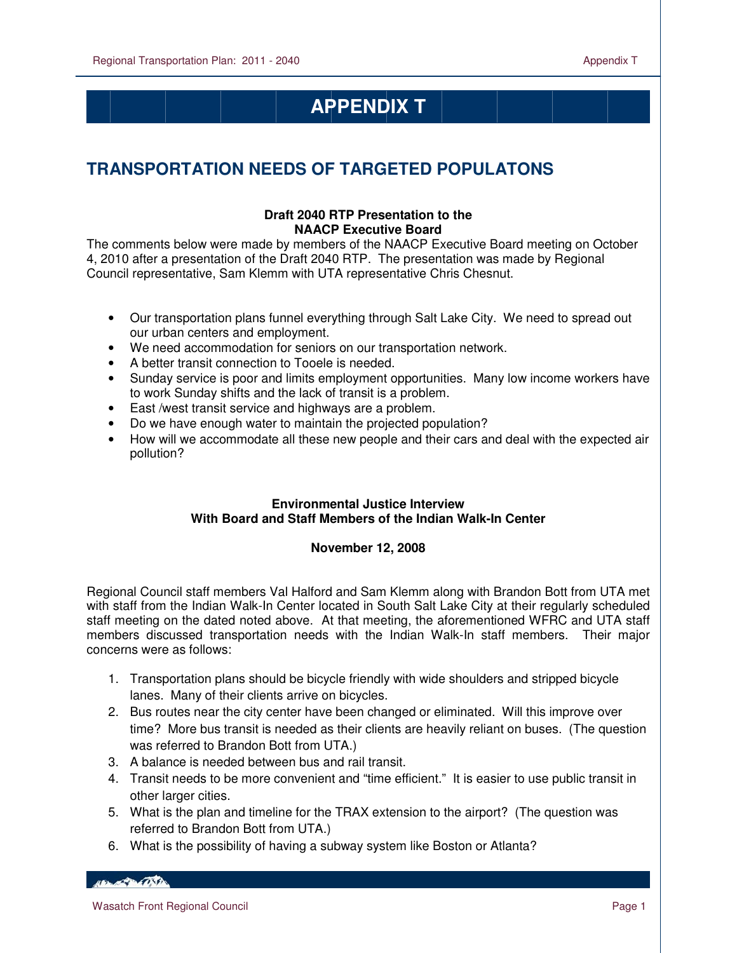# **APPENDIX T**

# **TRANSPORTATION NEEDS OF TARGETED POPULATONS**

## **Draft 2040 RTP Presentation to the NAACP Executive Board**

The comments below were made by members of the NAACP Executive Board meeting on October 4, 2010 after a presentation of the Draft 2040 RTP. The presentation was made by Regional Council representative, Sam Klemm with UTA representative Chris Chesnut.

- Our transportation plans funnel everything through Salt Lake City. We need to spread out our urban centers and employment.
- We need accommodation for seniors on our transportation network.
- A better transit connection to Tooele is needed.
- Sunday service is poor and limits employment opportunities. Many low income workers have to work Sunday shifts and the lack of transit is a problem.
- East /west transit service and highways are a problem.
- Do we have enough water to maintain the projected population?
- How will we accommodate all these new people and their cars and deal with the expected air pollution?

### **Environmental Justice Interview With Board and Staff Members of the Indian Walk-In Center**

### **November 12, 2008**

Regional Council staff members Val Halford and Sam Klemm along with Brandon Bott from UTA met with staff from the Indian Walk-In Center located in South Salt Lake City at their regularly scheduled staff meeting on the dated noted above. At that meeting, the aforementioned WFRC and UTA staff members discussed transportation needs with the Indian Walk-In staff members. Their major concerns were as follows:

- 1. Transportation plans should be bicycle friendly with wide shoulders and stripped bicycle lanes. Many of their clients arrive on bicycles.
- 2. Bus routes near the city center have been changed or eliminated. Will this improve over time? More bus transit is needed as their clients are heavily reliant on buses. (The question was referred to Brandon Bott from UTA.)
- 3. A balance is needed between bus and rail transit.
- 4. Transit needs to be more convenient and "time efficient." It is easier to use public transit in other larger cities.
- 5. What is the plan and timeline for the TRAX extension to the airport? (The question was referred to Brandon Bott from UTA.)
- 6. What is the possibility of having a subway system like Boston or Atlanta?

HELL OF THE CONTROL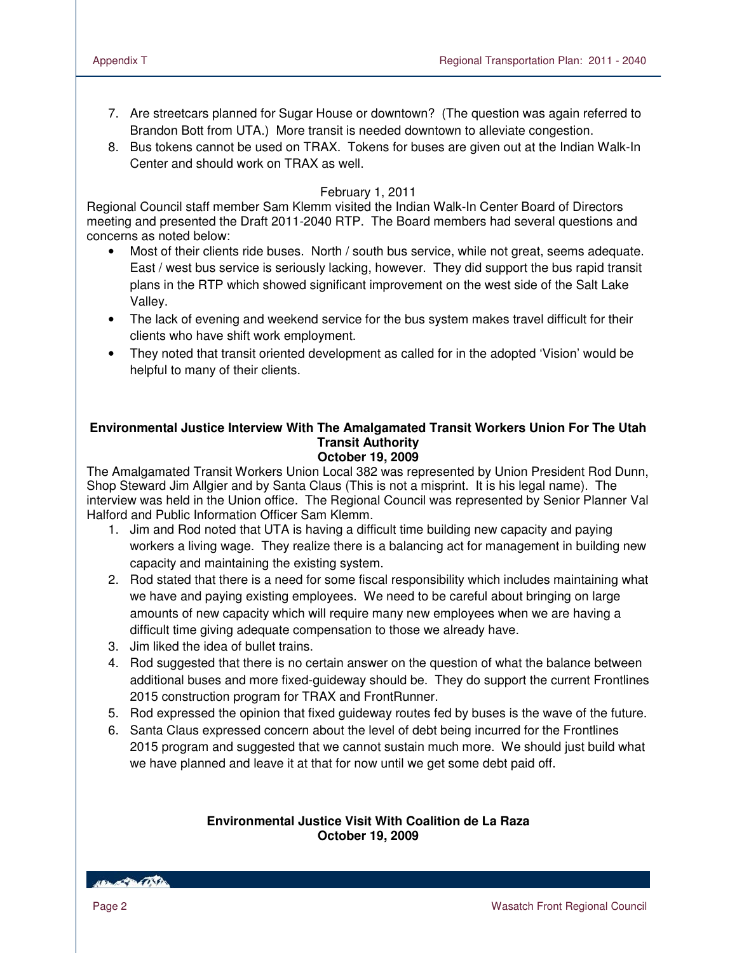- 7. Are streetcars planned for Sugar House or downtown? (The question was again referred to Brandon Bott from UTA.) More transit is needed downtown to alleviate congestion.
- 8. Bus tokens cannot be used on TRAX. Tokens for buses are given out at the Indian Walk-In Center and should work on TRAX as well.

#### February 1, 2011

Regional Council staff member Sam Klemm visited the Indian Walk-In Center Board of Directors meeting and presented the Draft 2011-2040 RTP. The Board members had several questions and concerns as noted below:

- Most of their clients ride buses. North / south bus service, while not great, seems adequate. East / west bus service is seriously lacking, however. They did support the bus rapid transit plans in the RTP which showed significant improvement on the west side of the Salt Lake Valley.
- The lack of evening and weekend service for the bus system makes travel difficult for their clients who have shift work employment.
- They noted that transit oriented development as called for in the adopted 'Vision' would be helpful to many of their clients.

#### **Environmental Justice Interview With The Amalgamated Transit Workers Union For The Utah Transit Authority October 19, 2009**

The Amalgamated Transit Workers Union Local 382 was represented by Union President Rod Dunn, Shop Steward Jim Allgier and by Santa Claus (This is not a misprint. It is his legal name). The interview was held in the Union office. The Regional Council was represented by Senior Planner Val Halford and Public Information Officer Sam Klemm.

- 1. Jim and Rod noted that UTA is having a difficult time building new capacity and paying workers a living wage. They realize there is a balancing act for management in building new capacity and maintaining the existing system.
- 2. Rod stated that there is a need for some fiscal responsibility which includes maintaining what we have and paying existing employees. We need to be careful about bringing on large amounts of new capacity which will require many new employees when we are having a difficult time giving adequate compensation to those we already have.
- 3. Jim liked the idea of bullet trains.
- 4. Rod suggested that there is no certain answer on the question of what the balance between additional buses and more fixed-guideway should be. They do support the current Frontlines 2015 construction program for TRAX and FrontRunner.
- 5. Rod expressed the opinion that fixed guideway routes fed by buses is the wave of the future.
- 6. Santa Claus expressed concern about the level of debt being incurred for the Frontlines 2015 program and suggested that we cannot sustain much more. We should just build what we have planned and leave it at that for now until we get some debt paid off.

#### **Environmental Justice Visit With Coalition de La Raza October 19, 2009**

HELLOW BACKER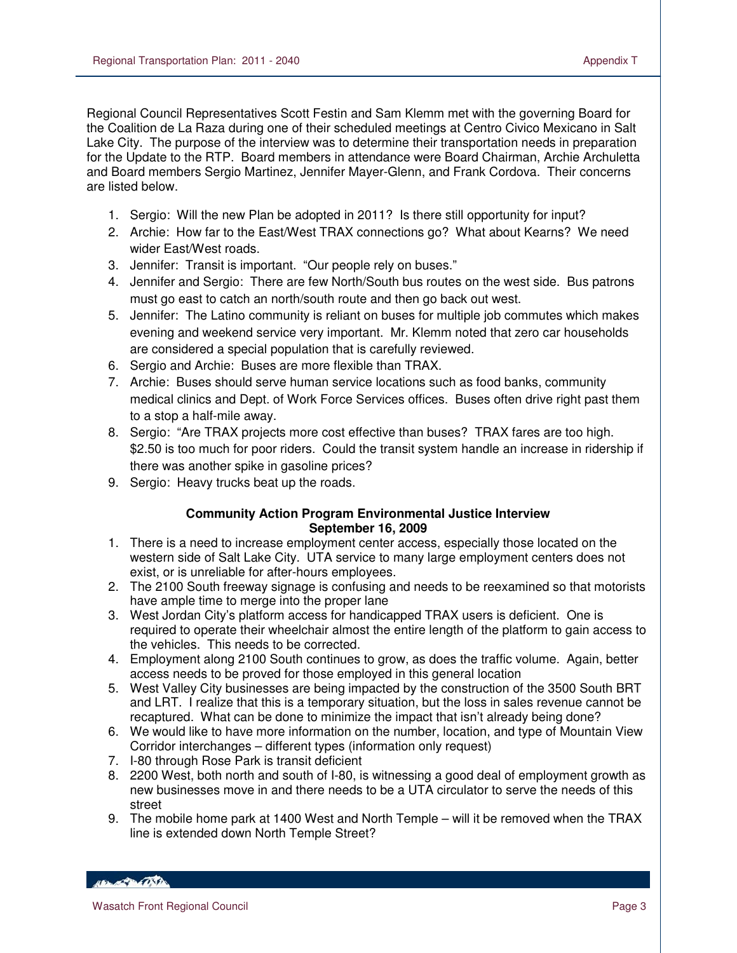Regional Council Representatives Scott Festin and Sam Klemm met with the governing Board for the Coalition de La Raza during one of their scheduled meetings at Centro Civico Mexicano in Salt Lake City. The purpose of the interview was to determine their transportation needs in preparation for the Update to the RTP. Board members in attendance were Board Chairman, Archie Archuletta and Board members Sergio Martinez, Jennifer Mayer-Glenn, and Frank Cordova. Their concerns are listed below.

- 1. Sergio: Will the new Plan be adopted in 2011? Is there still opportunity for input?
- 2. Archie: How far to the East/West TRAX connections go? What about Kearns? We need wider East/West roads.
- 3. Jennifer: Transit is important. "Our people rely on buses."
- 4. Jennifer and Sergio: There are few North/South bus routes on the west side. Bus patrons must go east to catch an north/south route and then go back out west.
- 5. Jennifer: The Latino community is reliant on buses for multiple job commutes which makes evening and weekend service very important. Mr. Klemm noted that zero car households are considered a special population that is carefully reviewed.
- 6. Sergio and Archie: Buses are more flexible than TRAX.
- 7. Archie: Buses should serve human service locations such as food banks, community medical clinics and Dept. of Work Force Services offices. Buses often drive right past them to a stop a half-mile away.
- 8. Sergio: "Are TRAX projects more cost effective than buses? TRAX fares are too high. \$2.50 is too much for poor riders. Could the transit system handle an increase in ridership if there was another spike in gasoline prices?
- 9. Sergio: Heavy trucks beat up the roads.

#### **Community Action Program Environmental Justice Interview September 16, 2009**

- 1. There is a need to increase employment center access, especially those located on the western side of Salt Lake City. UTA service to many large employment centers does not exist, or is unreliable for after-hours employees.
- 2. The 2100 South freeway signage is confusing and needs to be reexamined so that motorists have ample time to merge into the proper lane
- 3. West Jordan City's platform access for handicapped TRAX users is deficient. One is required to operate their wheelchair almost the entire length of the platform to gain access to the vehicles. This needs to be corrected.
- 4. Employment along 2100 South continues to grow, as does the traffic volume. Again, better access needs to be proved for those employed in this general location
- 5. West Valley City businesses are being impacted by the construction of the 3500 South BRT and LRT. I realize that this is a temporary situation, but the loss in sales revenue cannot be recaptured. What can be done to minimize the impact that isn't already being done?
- 6. We would like to have more information on the number, location, and type of Mountain View Corridor interchanges – different types (information only request)
- 7. I-80 through Rose Park is transit deficient
- 8. 2200 West, both north and south of I-80, is witnessing a good deal of employment growth as new businesses move in and there needs to be a UTA circulator to serve the needs of this street
- 9. The mobile home park at 1400 West and North Temple will it be removed when the TRAX line is extended down North Temple Street?

HELL OF THE ONE IN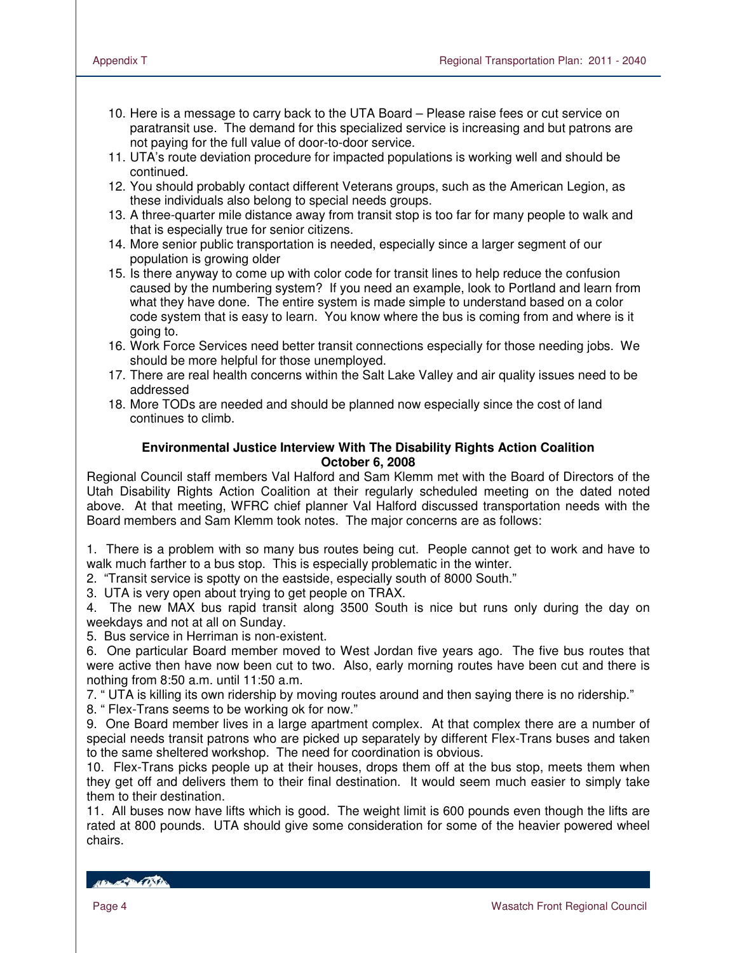- 10. Here is a message to carry back to the UTA Board Please raise fees or cut service on paratransit use. The demand for this specialized service is increasing and but patrons are not paying for the full value of door-to-door service.
- 11. UTA's route deviation procedure for impacted populations is working well and should be continued.
- 12. You should probably contact different Veterans groups, such as the American Legion, as these individuals also belong to special needs groups.
- 13. A three-quarter mile distance away from transit stop is too far for many people to walk and that is especially true for senior citizens.
- 14. More senior public transportation is needed, especially since a larger segment of our population is growing older
- 15. Is there anyway to come up with color code for transit lines to help reduce the confusion caused by the numbering system? If you need an example, look to Portland and learn from what they have done. The entire system is made simple to understand based on a color code system that is easy to learn. You know where the bus is coming from and where is it going to.
- 16. Work Force Services need better transit connections especially for those needing jobs. We should be more helpful for those unemployed.
- 17. There are real health concerns within the Salt Lake Valley and air quality issues need to be addressed
- 18. More TODs are needed and should be planned now especially since the cost of land continues to climb.

#### **Environmental Justice Interview With The Disability Rights Action Coalition October 6, 2008**

Regional Council staff members Val Halford and Sam Klemm met with the Board of Directors of the Utah Disability Rights Action Coalition at their regularly scheduled meeting on the dated noted above. At that meeting, WFRC chief planner Val Halford discussed transportation needs with the Board members and Sam Klemm took notes. The major concerns are as follows:

1. There is a problem with so many bus routes being cut. People cannot get to work and have to walk much farther to a bus stop. This is especially problematic in the winter.

2. "Transit service is spotty on the eastside, especially south of 8000 South."

3. UTA is very open about trying to get people on TRAX.

4. The new MAX bus rapid transit along 3500 South is nice but runs only during the day on weekdays and not at all on Sunday.

5. Bus service in Herriman is non-existent.

6. One particular Board member moved to West Jordan five years ago. The five bus routes that were active then have now been cut to two. Also, early morning routes have been cut and there is nothing from 8:50 a.m. until 11:50 a.m.

7. " UTA is killing its own ridership by moving routes around and then saying there is no ridership."

8. " Flex-Trans seems to be working ok for now."

9. One Board member lives in a large apartment complex. At that complex there are a number of special needs transit patrons who are picked up separately by different Flex-Trans buses and taken to the same sheltered workshop. The need for coordination is obvious.

10. Flex-Trans picks people up at their houses, drops them off at the bus stop, meets them when they get off and delivers them to their final destination. It would seem much easier to simply take them to their destination.

11. All buses now have lifts which is good. The weight limit is 600 pounds even though the lifts are rated at 800 pounds. UTA should give some consideration for some of the heavier powered wheel chairs.

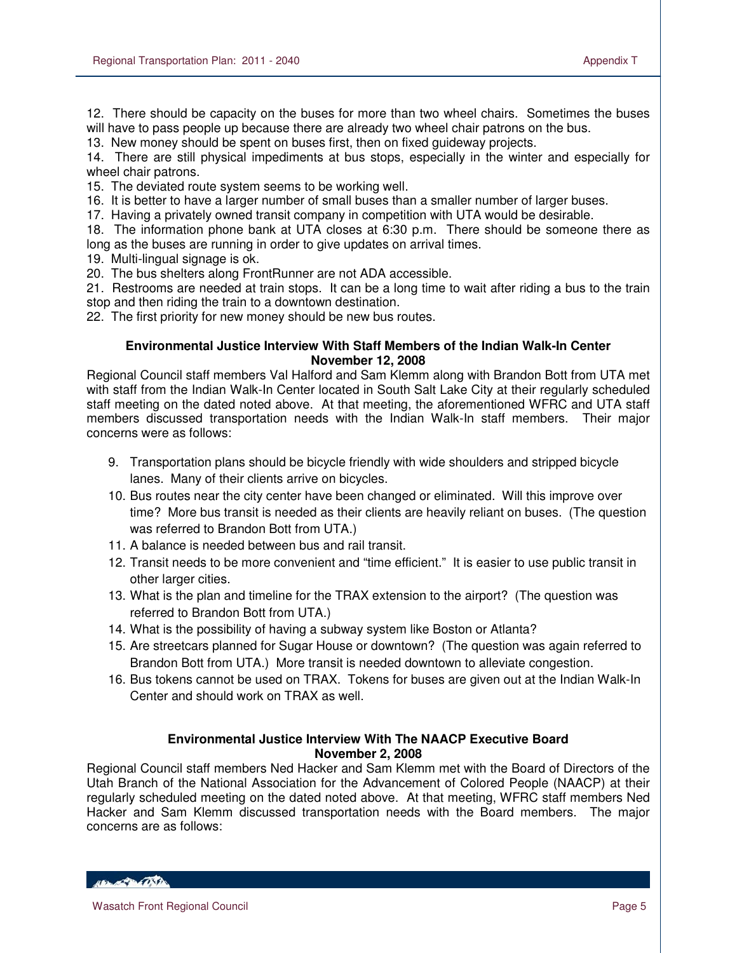12. There should be capacity on the buses for more than two wheel chairs. Sometimes the buses will have to pass people up because there are already two wheel chair patrons on the bus.

13. New money should be spent on buses first, then on fixed guideway projects.

14. There are still physical impediments at bus stops, especially in the winter and especially for wheel chair patrons.

15. The deviated route system seems to be working well.

16. It is better to have a larger number of small buses than a smaller number of larger buses.

17. Having a privately owned transit company in competition with UTA would be desirable.

18. The information phone bank at UTA closes at 6:30 p.m. There should be someone there as long as the buses are running in order to give updates on arrival times.

19. Multi-lingual signage is ok.

20. The bus shelters along FrontRunner are not ADA accessible.

21. Restrooms are needed at train stops. It can be a long time to wait after riding a bus to the train stop and then riding the train to a downtown destination.

22. The first priority for new money should be new bus routes.

#### **Environmental Justice Interview With Staff Members of the Indian Walk-In Center November 12, 2008**

Regional Council staff members Val Halford and Sam Klemm along with Brandon Bott from UTA met with staff from the Indian Walk-In Center located in South Salt Lake City at their regularly scheduled staff meeting on the dated noted above. At that meeting, the aforementioned WFRC and UTA staff members discussed transportation needs with the Indian Walk-In staff members. Their major concerns were as follows:

- 9. Transportation plans should be bicycle friendly with wide shoulders and stripped bicycle lanes. Many of their clients arrive on bicycles.
- 10. Bus routes near the city center have been changed or eliminated. Will this improve over time? More bus transit is needed as their clients are heavily reliant on buses. (The question was referred to Brandon Bott from UTA.)
- 11. A balance is needed between bus and rail transit.
- 12. Transit needs to be more convenient and "time efficient." It is easier to use public transit in other larger cities.
- 13. What is the plan and timeline for the TRAX extension to the airport? (The question was referred to Brandon Bott from UTA.)
- 14. What is the possibility of having a subway system like Boston or Atlanta?
- 15. Are streetcars planned for Sugar House or downtown? (The question was again referred to Brandon Bott from UTA.) More transit is needed downtown to alleviate congestion.
- 16. Bus tokens cannot be used on TRAX. Tokens for buses are given out at the Indian Walk-In Center and should work on TRAX as well.

#### **Environmental Justice Interview With The NAACP Executive Board November 2, 2008**

Regional Council staff members Ned Hacker and Sam Klemm met with the Board of Directors of the Utah Branch of the National Association for the Advancement of Colored People (NAACP) at their regularly scheduled meeting on the dated noted above. At that meeting, WFRC staff members Ned Hacker and Sam Klemm discussed transportation needs with the Board members. The major concerns are as follows:

HELL OF THE CONTROL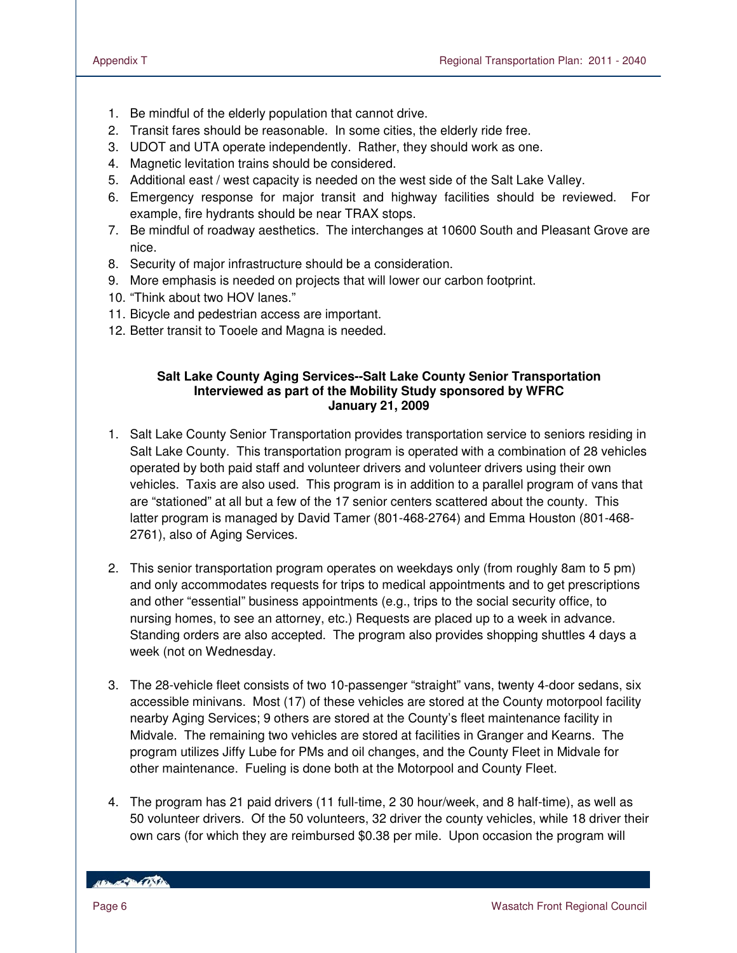- 1. Be mindful of the elderly population that cannot drive.
- 2. Transit fares should be reasonable. In some cities, the elderly ride free.
- 3. UDOT and UTA operate independently. Rather, they should work as one.
- 4. Magnetic levitation trains should be considered.
- 5. Additional east / west capacity is needed on the west side of the Salt Lake Valley.
- 6. Emergency response for major transit and highway facilities should be reviewed. For example, fire hydrants should be near TRAX stops.
- 7. Be mindful of roadway aesthetics. The interchanges at 10600 South and Pleasant Grove are nice.
- 8. Security of major infrastructure should be a consideration.
- 9. More emphasis is needed on projects that will lower our carbon footprint.
- 10. "Think about two HOV lanes."
- 11. Bicycle and pedestrian access are important.
- 12. Better transit to Tooele and Magna is needed.

#### **Salt Lake County Aging Services--Salt Lake County Senior Transportation Interviewed as part of the Mobility Study sponsored by WFRC January 21, 2009**

- 1. Salt Lake County Senior Transportation provides transportation service to seniors residing in Salt Lake County. This transportation program is operated with a combination of 28 vehicles operated by both paid staff and volunteer drivers and volunteer drivers using their own vehicles. Taxis are also used. This program is in addition to a parallel program of vans that are "stationed" at all but a few of the 17 senior centers scattered about the county. This latter program is managed by David Tamer (801-468-2764) and Emma Houston (801-468- 2761), also of Aging Services.
- 2. This senior transportation program operates on weekdays only (from roughly 8am to 5 pm) and only accommodates requests for trips to medical appointments and to get prescriptions and other "essential" business appointments (e.g., trips to the social security office, to nursing homes, to see an attorney, etc.) Requests are placed up to a week in advance. Standing orders are also accepted. The program also provides shopping shuttles 4 days a week (not on Wednesday.
- 3. The 28-vehicle fleet consists of two 10-passenger "straight" vans, twenty 4-door sedans, six accessible minivans. Most (17) of these vehicles are stored at the County motorpool facility nearby Aging Services; 9 others are stored at the County's fleet maintenance facility in Midvale. The remaining two vehicles are stored at facilities in Granger and Kearns. The program utilizes Jiffy Lube for PMs and oil changes, and the County Fleet in Midvale for other maintenance. Fueling is done both at the Motorpool and County Fleet.
- 4. The program has 21 paid drivers (11 full-time, 2 30 hour/week, and 8 half-time), as well as 50 volunteer drivers. Of the 50 volunteers, 32 driver the county vehicles, while 18 driver their own cars (for which they are reimbursed \$0.38 per mile. Upon occasion the program will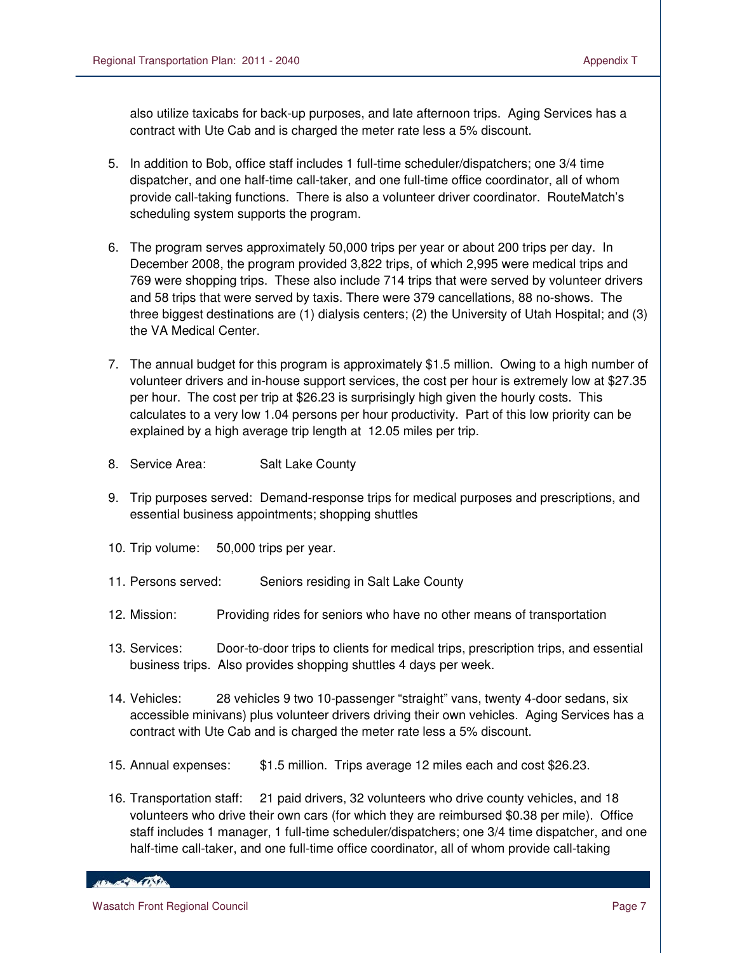also utilize taxicabs for back-up purposes, and late afternoon trips. Aging Services has a contract with Ute Cab and is charged the meter rate less a 5% discount.

- 5. In addition to Bob, office staff includes 1 full-time scheduler/dispatchers; one 3/4 time dispatcher, and one half-time call-taker, and one full-time office coordinator, all of whom provide call-taking functions. There is also a volunteer driver coordinator. RouteMatch's scheduling system supports the program.
- 6. The program serves approximately 50,000 trips per year or about 200 trips per day. In December 2008, the program provided 3,822 trips, of which 2,995 were medical trips and 769 were shopping trips. These also include 714 trips that were served by volunteer drivers and 58 trips that were served by taxis. There were 379 cancellations, 88 no-shows. The three biggest destinations are (1) dialysis centers; (2) the University of Utah Hospital; and (3) the VA Medical Center.
- 7. The annual budget for this program is approximately \$1.5 million. Owing to a high number of volunteer drivers and in-house support services, the cost per hour is extremely low at \$27.35 per hour. The cost per trip at \$26.23 is surprisingly high given the hourly costs. This calculates to a very low 1.04 persons per hour productivity. Part of this low priority can be explained by a high average trip length at 12.05 miles per trip.
- 8. Service Area: Salt Lake County
- 9. Trip purposes served: Demand-response trips for medical purposes and prescriptions, and essential business appointments; shopping shuttles
- 10. Trip volume: 50,000 trips per year.
- 11. Persons served: Seniors residing in Salt Lake County
- 12. Mission: Providing rides for seniors who have no other means of transportation
- 13. Services: Door-to-door trips to clients for medical trips, prescription trips, and essential business trips. Also provides shopping shuttles 4 days per week.
- 14. Vehicles: 28 vehicles 9 two 10-passenger "straight" vans, twenty 4-door sedans, six accessible minivans) plus volunteer drivers driving their own vehicles. Aging Services has a contract with Ute Cab and is charged the meter rate less a 5% discount.
- 15. Annual expenses: \$1.5 million. Trips average 12 miles each and cost \$26.23.
- 16. Transportation staff: 21 paid drivers, 32 volunteers who drive county vehicles, and 18 volunteers who drive their own cars (for which they are reimbursed \$0.38 per mile). Office staff includes 1 manager, 1 full-time scheduler/dispatchers; one 3/4 time dispatcher, and one half-time call-taker, and one full-time office coordinator, all of whom provide call-taking

**Control Marsh**